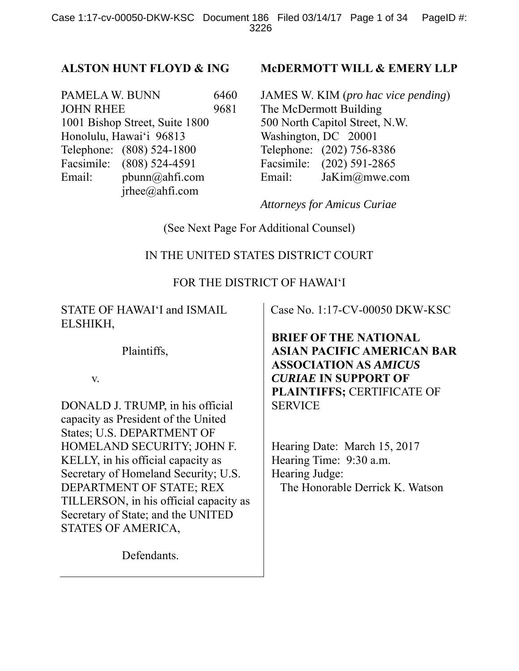### **ALSTON HUNT FLOYD & ING**

PAMELA W. BUNN 6460 JOHN RHEE 9681 1001 Bishop Street, Suite 1800 Honolulu, Hawai'i 96813 Telephone: (808) 524-1800 Facsimile: (808) 524-4591 Email: pbunn@ahfi.com jrhee@ahfi.com

### **McDERMOTT WILL & EMERY LLP**

JAMES W. KIM (*pro hac vice pending*) The McDermott Building 500 North Capitol Street, N.W. Washington, DC 20001 Telephone: (202) 756-8386 Facsimile: (202) 591-2865 Email: JaKim@mwe.com

*Attorneys for Amicus Curiae*

(See Next Page For Additional Counsel)

## IN THE UNITED STATES DISTRICT COURT

### FOR THE DISTRICT OF HAWAI'I

STATE OF HAWAI'I and ISMAIL ELSHIKH,

Plaintiffs,

v.

DONALD J. TRUMP, in his official capacity as President of the United States; U.S. DEPARTMENT OF HOMELAND SECURITY; JOHN F. KELLY, in his official capacity as Secretary of Homeland Security; U.S. DEPARTMENT OF STATE; REX TILLERSON, in his official capacity as Secretary of State; and the UNITED STATES OF AMERICA,

Defendants.

Case No. 1:17-CV-00050 DKW-KSC

**BRIEF OF THE NATIONAL ASIAN PACIFIC AMERICAN BAR ASSOCIATION AS** *AMICUS CURIAE* **IN SUPPORT OF PLAINTIFFS;** CERTIFICATE OF SERVICE

Hearing Date: March 15, 2017 Hearing Time: 9:30 a.m. Hearing Judge: The Honorable Derrick K. Watson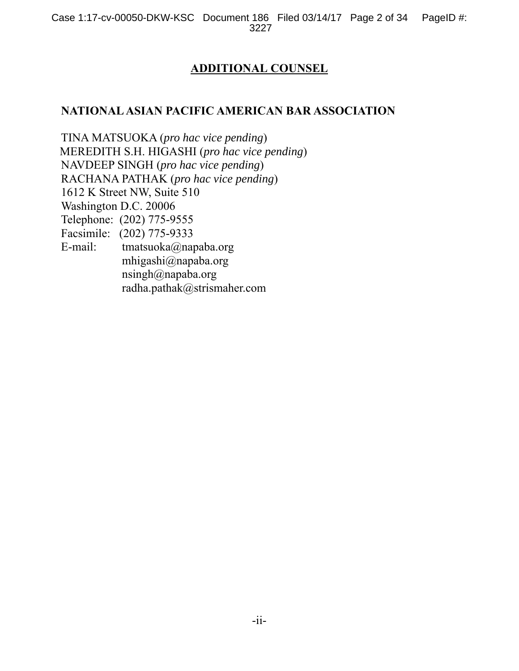### **ADDITIONAL COUNSEL**

### **NATIONAL ASIAN PACIFIC AMERICAN BAR ASSOCIATION**

TINA MATSUOKA (*pro hac vice pending*) MEREDITH S.H. HIGASHI (*pro hac vice pending*) NAVDEEP SINGH (*pro hac vice pending*) RACHANA PATHAK (*pro hac vice pending*) 1612 K Street NW, Suite 510 Washington D.C. 20006 Telephone: (202) 775-9555 Facsimile: (202) 775-9333 E-mail: tmatsuoka@napaba.org mhigashi@napaba.org nsingh@napaba.org radha.pathak@strismaher.com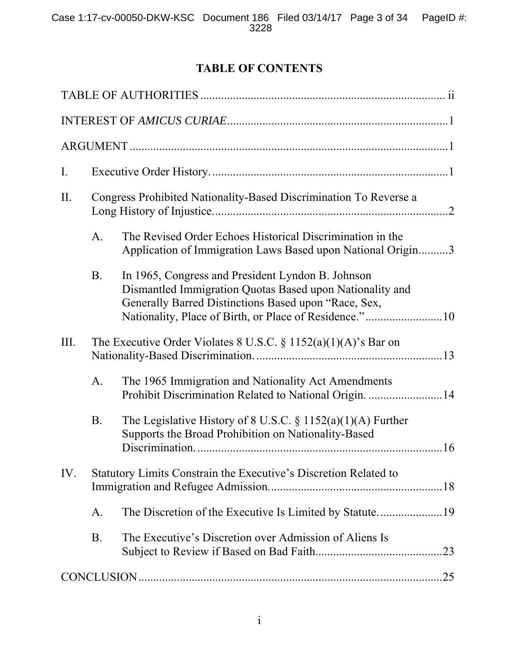# **TABLE OF CONTENTS**

| I.   |                                                                   |                                                                                                                                                                       |  |  |  |
|------|-------------------------------------------------------------------|-----------------------------------------------------------------------------------------------------------------------------------------------------------------------|--|--|--|
| II.  | Congress Prohibited Nationality-Based Discrimination To Reverse a |                                                                                                                                                                       |  |  |  |
|      | A <sub>1</sub>                                                    | The Revised Order Echoes Historical Discrimination in the<br>Application of Immigration Laws Based upon National Origin3                                              |  |  |  |
|      | <b>B.</b>                                                         | In 1965, Congress and President Lyndon B. Johnson<br>Dismantled Immigration Quotas Based upon Nationality and<br>Generally Barred Distinctions Based upon "Race, Sex, |  |  |  |
| III. |                                                                   | The Executive Order Violates 8 U.S.C. § 1152(a)(1)(A)'s Bar on                                                                                                        |  |  |  |
|      | A.                                                                | The 1965 Immigration and Nationality Act Amendments<br>Prohibit Discrimination Related to National Origin. 14                                                         |  |  |  |
|      | <b>B.</b>                                                         | The Legislative History of 8 U.S.C. $\S 1152(a)(1)(A)$ Further<br>Supports the Broad Prohibition on Nationality-Based                                                 |  |  |  |
| IV.  | Statutory Limits Constrain the Executive's Discretion Related to  |                                                                                                                                                                       |  |  |  |
|      | A.                                                                |                                                                                                                                                                       |  |  |  |
|      | <b>B.</b>                                                         | The Executive's Discretion over Admission of Aliens Is                                                                                                                |  |  |  |
|      |                                                                   |                                                                                                                                                                       |  |  |  |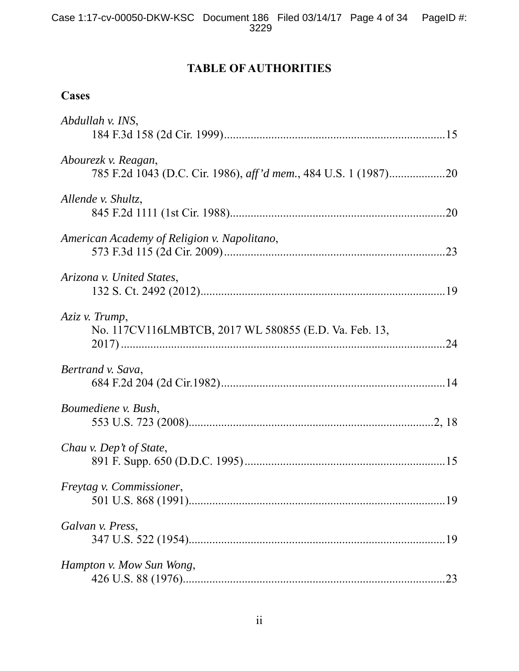# **TABLE OF AUTHORITIES**

## **Cases**

| Abdullah v. INS,                                                        |
|-------------------------------------------------------------------------|
| Abourezk v. Reagan,                                                     |
| Allende v. Shultz,                                                      |
| American Academy of Religion v. Napolitano,                             |
| Arizona v. United States,                                               |
| Aziz v. Trump,<br>No. 117CV116LMBTCB, 2017 WL 580855 (E.D. Va. Feb. 13, |
| Bertrand v. Sava,                                                       |
| Boumediene v. Bush,                                                     |
| Chau v. Dep't of State,                                                 |
| Freytag v. Commissioner,                                                |
| Galvan v. Press,                                                        |
| Hampton v. Mow Sun Wong,<br>.23                                         |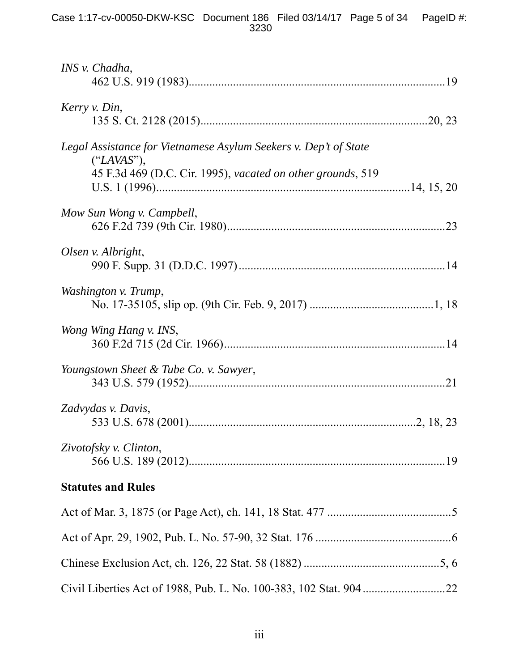| INS v. Chadha,                                                                                                                                |
|-----------------------------------------------------------------------------------------------------------------------------------------------|
| Kerry v. Din,                                                                                                                                 |
| Legal Assistance for Vietnamese Asylum Seekers v. Dep't of State<br>("LAVAS"),<br>45 F.3d 469 (D.C. Cir. 1995), vacated on other grounds, 519 |
| Mow Sun Wong v. Campbell,                                                                                                                     |
| Olsen v. Albright,                                                                                                                            |
| Washington v. Trump,                                                                                                                          |
| Wong Wing Hang v. INS,                                                                                                                        |
| Youngstown Sheet & Tube Co. v. Sawyer,                                                                                                        |
| Zadvydas v. Davis,                                                                                                                            |
| Zivotofsky v. Clinton,                                                                                                                        |
| <b>Statutes and Rules</b>                                                                                                                     |
|                                                                                                                                               |
|                                                                                                                                               |
|                                                                                                                                               |
|                                                                                                                                               |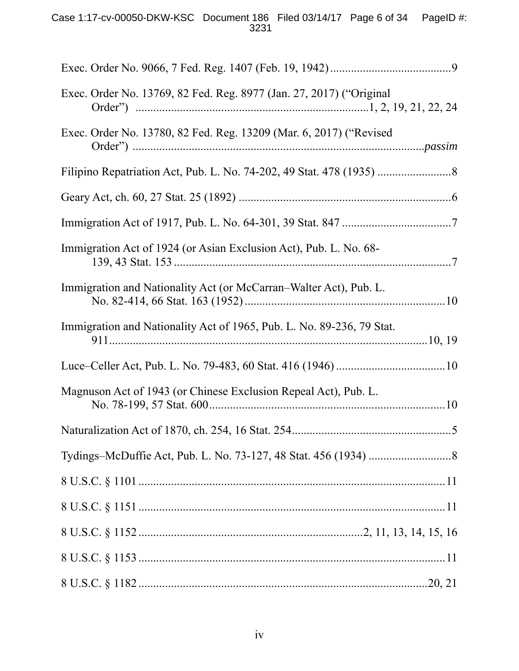#### Case 1:17-cv-00050-DKW-KSC Document 186 Filed 03/14/17 Page 6 of 34 PageID #: 3231

| Exec. Order No. 13769, 82 Fed. Reg. 8977 (Jan. 27, 2017) ("Original   |
|-----------------------------------------------------------------------|
| Exec. Order No. 13780, 82 Fed. Reg. 13209 (Mar. 6, 2017) ("Revised    |
|                                                                       |
|                                                                       |
|                                                                       |
| Immigration Act of 1924 (or Asian Exclusion Act), Pub. L. No. 68-     |
| Immigration and Nationality Act (or McCarran–Walter Act), Pub. L.     |
| Immigration and Nationality Act of 1965, Pub. L. No. 89-236, 79 Stat. |
|                                                                       |
| Magnuson Act of 1943 (or Chinese Exclusion Repeal Act), Pub. L.       |
|                                                                       |
|                                                                       |
|                                                                       |
|                                                                       |
|                                                                       |
|                                                                       |
|                                                                       |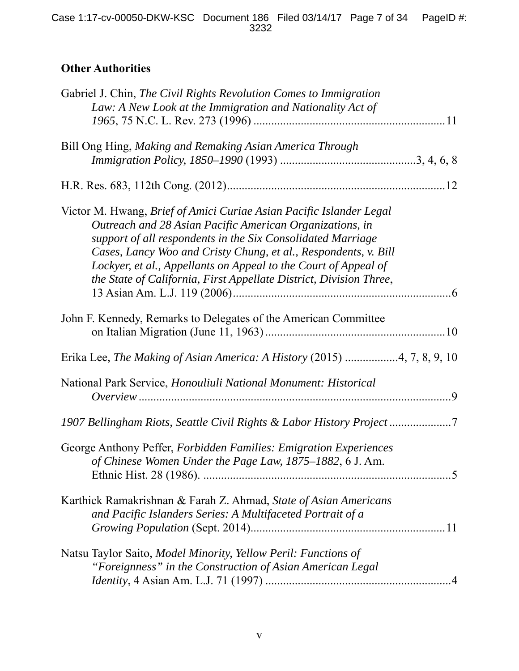# **Other Authorities**

| Gabriel J. Chin, The Civil Rights Revolution Comes to Immigration<br>Law: A New Look at the Immigration and Nationality Act of                                                                                                                                                                                                                                                                             |
|------------------------------------------------------------------------------------------------------------------------------------------------------------------------------------------------------------------------------------------------------------------------------------------------------------------------------------------------------------------------------------------------------------|
| Bill Ong Hing, Making and Remaking Asian America Through                                                                                                                                                                                                                                                                                                                                                   |
|                                                                                                                                                                                                                                                                                                                                                                                                            |
| Victor M. Hwang, Brief of Amici Curiae Asian Pacific Islander Legal<br>Outreach and 28 Asian Pacific American Organizations, in<br>support of all respondents in the Six Consolidated Marriage<br>Cases, Lancy Woo and Cristy Chung, et al., Respondents, v. Bill<br>Lockyer, et al., Appellants on Appeal to the Court of Appeal of<br>the State of California, First Appellate District, Division Three, |
| John F. Kennedy, Remarks to Delegates of the American Committee                                                                                                                                                                                                                                                                                                                                            |
| Erika Lee, The Making of Asian America: A History (2015) 4, 7, 8, 9, 10                                                                                                                                                                                                                                                                                                                                    |
| National Park Service, Honouliuli National Monument: Historical                                                                                                                                                                                                                                                                                                                                            |
| 1907 Bellingham Riots, Seattle Civil Rights & Labor History Project 7                                                                                                                                                                                                                                                                                                                                      |
| George Anthony Peffer, Forbidden Families: Emigration Experiences<br>of Chinese Women Under the Page Law, 1875–1882, 6 J. Am.                                                                                                                                                                                                                                                                              |
| Karthick Ramakrishnan & Farah Z. Ahmad, State of Asian Americans<br>and Pacific Islanders Series: A Multifaceted Portrait of a                                                                                                                                                                                                                                                                             |
| Natsu Taylor Saito, Model Minority, Yellow Peril: Functions of<br>"Foreignness" in the Construction of Asian American Legal                                                                                                                                                                                                                                                                                |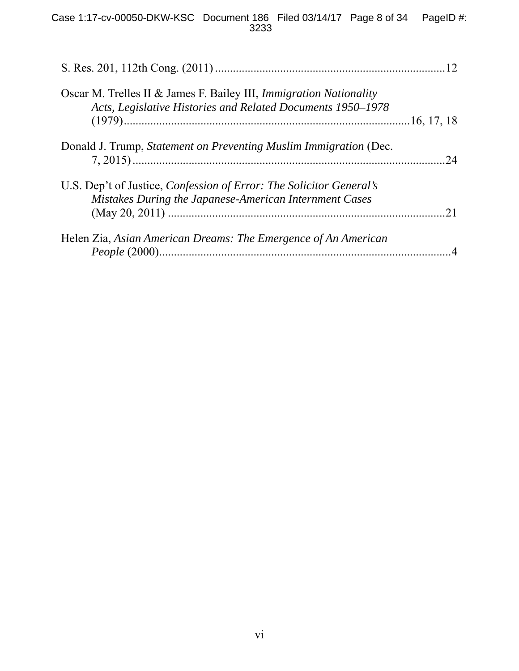| Oscar M. Trelles II & James F. Bailey III, <i>Immigration Nationality</i><br>Acts, Legislative Histories and Related Documents 1950-1978 |     |
|------------------------------------------------------------------------------------------------------------------------------------------|-----|
| Donald J. Trump, Statement on Preventing Muslim Immigration (Dec.                                                                        | .24 |
| U.S. Dep't of Justice, Confession of Error: The Solicitor General's<br>Mistakes During the Japanese-American Internment Cases            | 21  |
| Helen Zia, Asian American Dreams: The Emergence of An American                                                                           |     |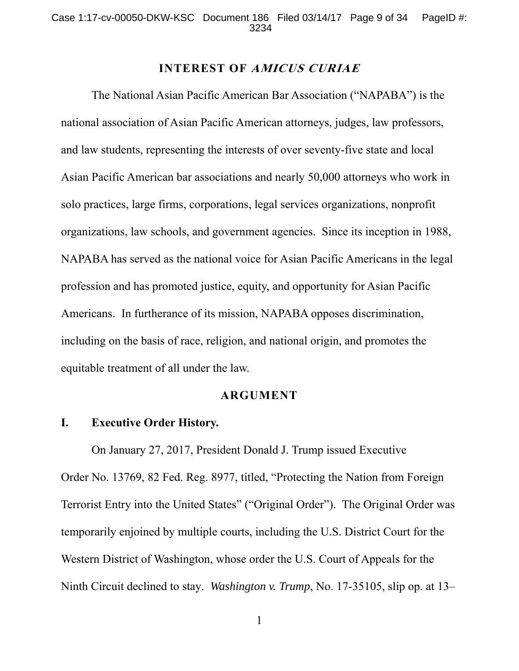#### **INTEREST OF AMICUS CURIAE**

The National Asian Pacific American Bar Association ("NAPABA") is the national association of Asian Pacific American attorneys, judges, law professors, and law students, representing the interests of over seventy-five state and local Asian Pacific American bar associations and nearly 50,000 attorneys who work in solo practices, large firms, corporations, legal services organizations, nonprofit organizations, law schools, and government agencies. Since its inception in 1988, NAPABA has served as the national voice for Asian Pacific Americans in the legal profession and has promoted justice, equity, and opportunity for Asian Pacific Americans. In furtherance of its mission, NAPABA opposes discrimination, including on the basis of race, religion, and national origin, and promotes the equitable treatment of all under the law.

#### **ARGUMENT**

### **I. Executive Order History.**

On January 27, 2017, President Donald J. Trump issued Executive Order No. 13769, 82 Fed. Reg. 8977, titled, "Protecting the Nation from Foreign Terrorist Entry into the United States" ("Original Order"). The Original Order was temporarily enjoined by multiple courts, including the U.S. District Court for the Western District of Washington, whose order the U.S. Court of Appeals for the Ninth Circuit declined to stay. *Washington v. Trump*, No. 17-35105, slip op. at 13–

1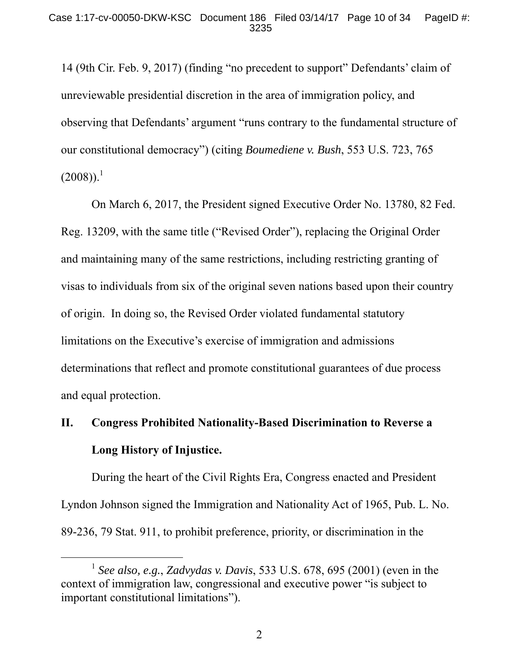14 (9th Cir. Feb. 9, 2017) (finding "no precedent to support" Defendants' claim of unreviewable presidential discretion in the area of immigration policy, and observing that Defendants' argument "runs contrary to the fundamental structure of our constitutional democracy") (citing *Boumediene v. Bush*, 553 U.S. 723, 765  $(2008)$ ).<sup>1</sup>

On March 6, 2017, the President signed Executive Order No. 13780, 82 Fed. Reg. 13209, with the same title ("Revised Order"), replacing the Original Order and maintaining many of the same restrictions, including restricting granting of visas to individuals from six of the original seven nations based upon their country of origin. In doing so, the Revised Order violated fundamental statutory limitations on the Executive's exercise of immigration and admissions determinations that reflect and promote constitutional guarantees of due process and equal protection.

# **II. Congress Prohibited Nationality-Based Discrimination to Reverse a Long History of Injustice.**

During the heart of the Civil Rights Era, Congress enacted and President Lyndon Johnson signed the Immigration and Nationality Act of 1965, Pub. L. No. 89-236, 79 Stat. 911, to prohibit preference, priority, or discrimination in the

 <sup>1</sup> *See also, e.g.*, *Zadvydas v. Davis*, 533 U.S. 678, 695 (2001) (even in the context of immigration law, congressional and executive power "is subject to important constitutional limitations").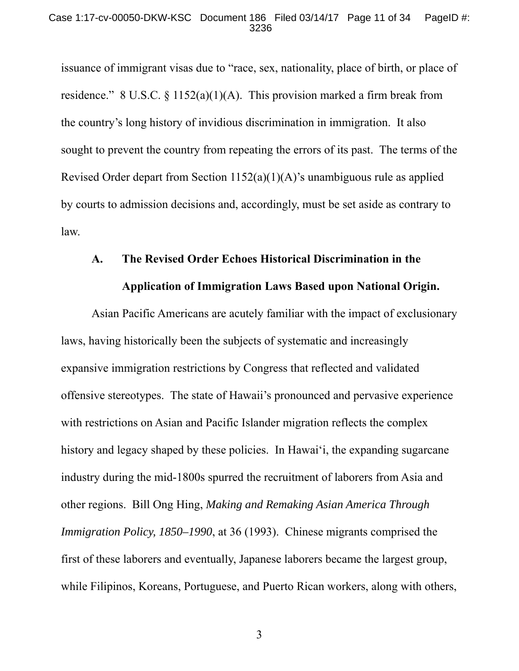#### Case 1:17-cv-00050-DKW-KSC Document 186 Filed 03/14/17 Page 11 of 34 PageID #: 3236

issuance of immigrant visas due to "race, sex, nationality, place of birth, or place of residence." 8 U.S.C.  $\S$  1152(a)(1)(A). This provision marked a firm break from the country's long history of invidious discrimination in immigration. It also sought to prevent the country from repeating the errors of its past. The terms of the Revised Order depart from Section 1152(a)(1)(A)'s unambiguous rule as applied by courts to admission decisions and, accordingly, must be set aside as contrary to law.

#### **A. The Revised Order Echoes Historical Discrimination in the**

#### **Application of Immigration Laws Based upon National Origin.**

Asian Pacific Americans are acutely familiar with the impact of exclusionary laws, having historically been the subjects of systematic and increasingly expansive immigration restrictions by Congress that reflected and validated offensive stereotypes. The state of Hawaii's pronounced and pervasive experience with restrictions on Asian and Pacific Islander migration reflects the complex history and legacy shaped by these policies. In Hawai'i, the expanding sugarcane industry during the mid-1800s spurred the recruitment of laborers from Asia and other regions. Bill Ong Hing, *Making and Remaking Asian America Through Immigration Policy, 1850–1990*, at 36 (1993). Chinese migrants comprised the first of these laborers and eventually, Japanese laborers became the largest group, while Filipinos, Koreans, Portuguese, and Puerto Rican workers, along with others,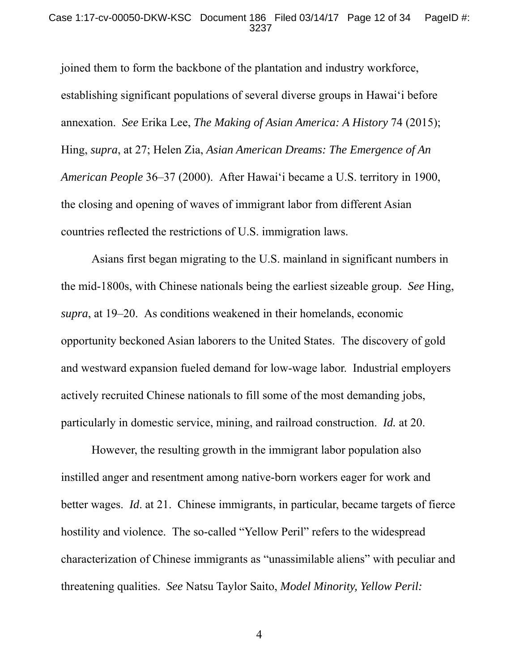#### Case 1:17-cv-00050-DKW-KSC Document 186 Filed 03/14/17 Page 12 of 34 PageID #: 3237

joined them to form the backbone of the plantation and industry workforce, establishing significant populations of several diverse groups in Hawai'i before annexation. *See* Erika Lee, *The Making of Asian America: A History* 74 (2015); Hing, *supra*, at 27; Helen Zia, *Asian American Dreams: The Emergence of An American People* 36–37 (2000). After Hawai'i became a U.S. territory in 1900, the closing and opening of waves of immigrant labor from different Asian countries reflected the restrictions of U.S. immigration laws.

Asians first began migrating to the U.S. mainland in significant numbers in the mid-1800s, with Chinese nationals being the earliest sizeable group. *See* Hing, *supra*, at 19–20. As conditions weakened in their homelands, economic opportunity beckoned Asian laborers to the United States. The discovery of gold and westward expansion fueled demand for low-wage labor. Industrial employers actively recruited Chinese nationals to fill some of the most demanding jobs, particularly in domestic service, mining, and railroad construction. *Id.* at 20.

However, the resulting growth in the immigrant labor population also instilled anger and resentment among native-born workers eager for work and better wages. *Id*. at 21. Chinese immigrants, in particular, became targets of fierce hostility and violence. The so-called "Yellow Peril" refers to the widespread characterization of Chinese immigrants as "unassimilable aliens" with peculiar and threatening qualities. *See* Natsu Taylor Saito, *Model Minority, Yellow Peril:* 

4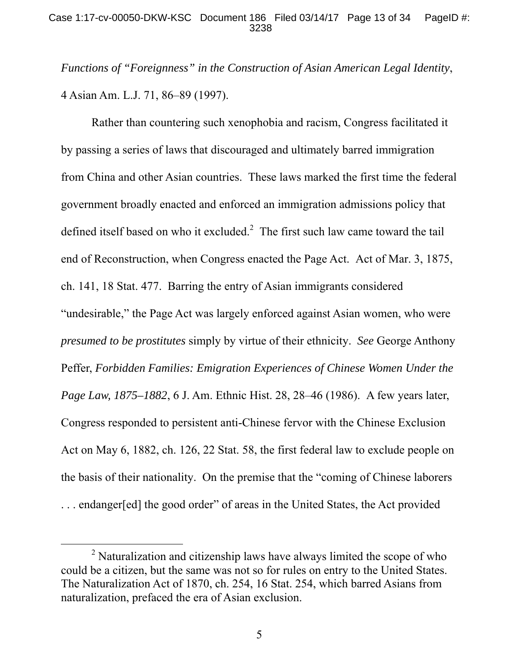*Functions of "Foreignness" in the Construction of Asian American Legal Identity*, 4 Asian Am. L.J. 71, 86–89 (1997).

Rather than countering such xenophobia and racism, Congress facilitated it by passing a series of laws that discouraged and ultimately barred immigration from China and other Asian countries. These laws marked the first time the federal government broadly enacted and enforced an immigration admissions policy that defined itself based on who it excluded.<sup>2</sup> The first such law came toward the tail end of Reconstruction, when Congress enacted the Page Act. Act of Mar. 3, 1875, ch. 141, 18 Stat. 477. Barring the entry of Asian immigrants considered "undesirable," the Page Act was largely enforced against Asian women, who were *presumed to be prostitutes* simply by virtue of their ethnicity. *See* George Anthony Peffer, *Forbidden Families: Emigration Experiences of Chinese Women Under the Page Law, 1875–1882*, 6 J. Am. Ethnic Hist. 28, 28–46 (1986). A few years later, Congress responded to persistent anti-Chinese fervor with the Chinese Exclusion Act on May 6, 1882, ch. 126, 22 Stat. 58, the first federal law to exclude people on the basis of their nationality. On the premise that the "coming of Chinese laborers . . . endanger[ed] the good order" of areas in the United States, the Act provided

 <sup>2</sup>  $\alpha$ <sup>2</sup> Naturalization and citizenship laws have always limited the scope of who could be a citizen, but the same was not so for rules on entry to the United States. The Naturalization Act of 1870, ch. 254, 16 Stat. 254, which barred Asians from naturalization, prefaced the era of Asian exclusion.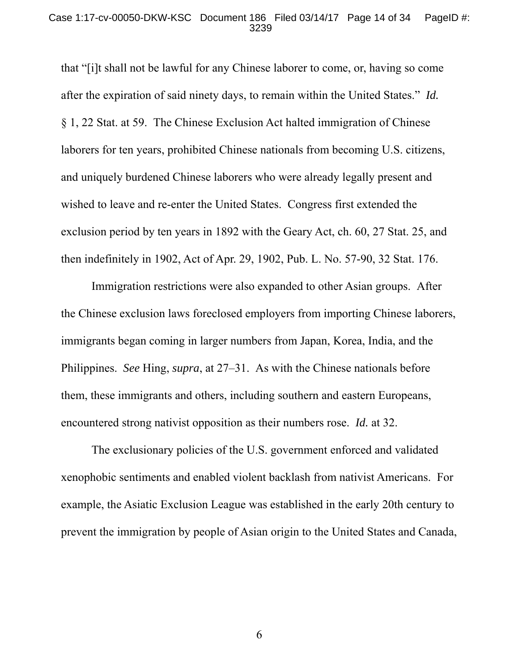that "[i]t shall not be lawful for any Chinese laborer to come, or, having so come after the expiration of said ninety days, to remain within the United States." *Id.* § 1, 22 Stat. at 59. The Chinese Exclusion Act halted immigration of Chinese laborers for ten years, prohibited Chinese nationals from becoming U.S. citizens, and uniquely burdened Chinese laborers who were already legally present and wished to leave and re-enter the United States. Congress first extended the exclusion period by ten years in 1892 with the Geary Act, ch. 60, 27 Stat. 25, and then indefinitely in 1902, Act of Apr. 29, 1902, Pub. L. No. 57-90, 32 Stat. 176.

Immigration restrictions were also expanded to other Asian groups. After the Chinese exclusion laws foreclosed employers from importing Chinese laborers, immigrants began coming in larger numbers from Japan, Korea, India, and the Philippines. *See* Hing, *supra*, at 27–31. As with the Chinese nationals before them, these immigrants and others, including southern and eastern Europeans, encountered strong nativist opposition as their numbers rose. *Id.* at 32.

The exclusionary policies of the U.S. government enforced and validated xenophobic sentiments and enabled violent backlash from nativist Americans. For example, the Asiatic Exclusion League was established in the early 20th century to prevent the immigration by people of Asian origin to the United States and Canada,

6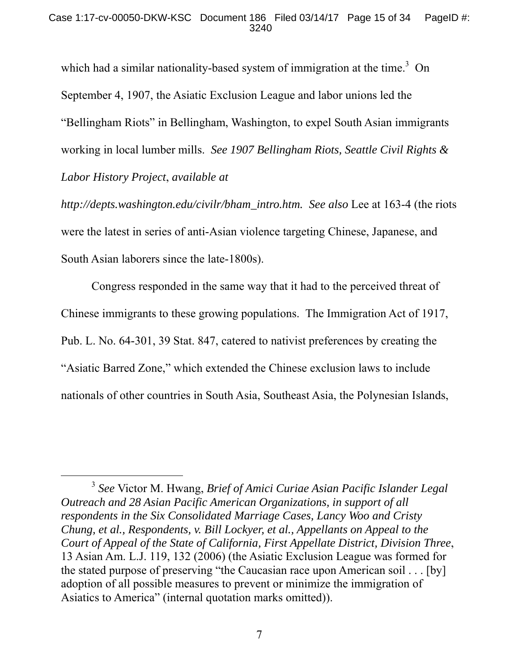which had a similar nationality-based system of immigration at the time.<sup>3</sup> On September 4, 1907, the Asiatic Exclusion League and labor unions led the "Bellingham Riots" in Bellingham, Washington, to expel South Asian immigrants working in local lumber mills. *See 1907 Bellingham Riots, Seattle Civil Rights & Labor History Project*, *available at* 

*http://depts.washington.edu/civilr/bham\_intro.htm. See also* Lee at 163-4 (the riots were the latest in series of anti-Asian violence targeting Chinese, Japanese, and South Asian laborers since the late-1800s).

Congress responded in the same way that it had to the perceived threat of Chinese immigrants to these growing populations. The Immigration Act of 1917, Pub. L. No. 64-301, 39 Stat. 847, catered to nativist preferences by creating the "Asiatic Barred Zone," which extended the Chinese exclusion laws to include nationals of other countries in South Asia, Southeast Asia, the Polynesian Islands,

 <sup>3</sup> *See* Victor M. Hwang, *Brief of Amici Curiae Asian Pacific Islander Legal Outreach and 28 Asian Pacific American Organizations, in support of all respondents in the Six Consolidated Marriage Cases, Lancy Woo and Cristy Chung, et al., Respondents, v. Bill Lockyer, et al., Appellants on Appeal to the Court of Appeal of the State of California, First Appellate District, Division Three*, 13 Asian Am. L.J. 119, 132 (2006) (the Asiatic Exclusion League was formed for the stated purpose of preserving "the Caucasian race upon American soil . . . [by] adoption of all possible measures to prevent or minimize the immigration of Asiatics to America" (internal quotation marks omitted)).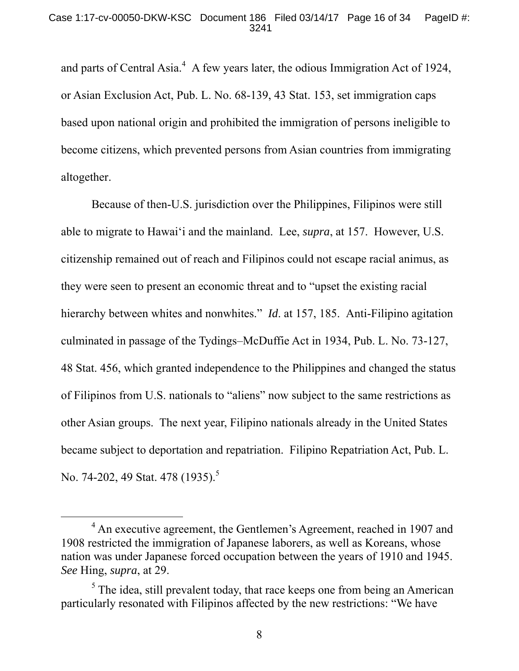and parts of Central Asia. $4\,$  A few years later, the odious Immigration Act of 1924, or Asian Exclusion Act, Pub. L. No. 68-139, 43 Stat. 153, set immigration caps based upon national origin and prohibited the immigration of persons ineligible to become citizens, which prevented persons from Asian countries from immigrating altogether.

Because of then-U.S. jurisdiction over the Philippines, Filipinos were still able to migrate to Hawai'i and the mainland. Lee, *supra*, at 157. However, U.S. citizenship remained out of reach and Filipinos could not escape racial animus, as they were seen to present an economic threat and to "upset the existing racial hierarchy between whites and nonwhites." *Id*. at 157, 185. Anti-Filipino agitation culminated in passage of the Tydings–McDuffie Act in 1934, Pub. L. No. 73-127, 48 Stat. 456, which granted independence to the Philippines and changed the status of Filipinos from U.S. nationals to "aliens" now subject to the same restrictions as other Asian groups. The next year, Filipino nationals already in the United States became subject to deportation and repatriation. Filipino Repatriation Act, Pub. L. No. 74-202, 49 Stat. 478 (1935).<sup>5</sup>

 $\frac{1}{4}$ <sup>4</sup> An executive agreement, the Gentlemen's Agreement, reached in 1907 and 1908 restricted the immigration of Japanese laborers, as well as Koreans, whose nation was under Japanese forced occupation between the years of 1910 and 1945. *See* Hing, *supra*, at 29.

 $<sup>5</sup>$  The idea, still prevalent today, that race keeps one from being an American</sup> particularly resonated with Filipinos affected by the new restrictions: "We have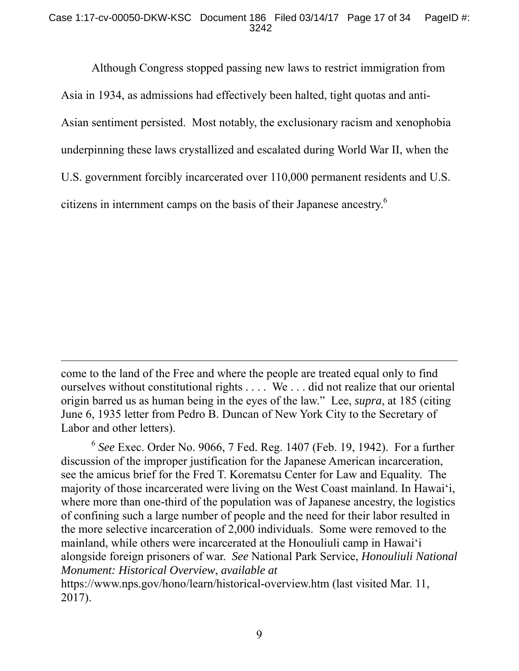Although Congress stopped passing new laws to restrict immigration from Asia in 1934, as admissions had effectively been halted, tight quotas and anti-Asian sentiment persisted. Most notably, the exclusionary racism and xenophobia underpinning these laws crystallized and escalated during World War II, when the U.S. government forcibly incarcerated over 110,000 permanent residents and U.S. citizens in internment camps on the basis of their Japanese ancestry.6

come to the land of the Free and where the people are treated equal only to find ourselves without constitutional rights . . . . We . . . did not realize that our oriental origin barred us as human being in the eyes of the law." Lee, *supra*, at 185 (citing June 6, 1935 letter from Pedro B. Duncan of New York City to the Secretary of Labor and other letters).

-

<sup>6</sup> *See* Exec. Order No. 9066, 7 Fed. Reg. 1407 (Feb. 19, 1942). For a further discussion of the improper justification for the Japanese American incarceration, see the amicus brief for the Fred T. Korematsu Center for Law and Equality. The majority of those incarcerated were living on the West Coast mainland. In Hawai'i, where more than one-third of the population was of Japanese ancestry, the logistics of confining such a large number of people and the need for their labor resulted in the more selective incarceration of 2,000 individuals. Some were removed to the mainland, while others were incarcerated at the Honouliuli camp in Hawai'i alongside foreign prisoners of war. *See* National Park Service, *Honouliuli National Monument: Historical Overview*, *available at* 

https://www.nps.gov/hono/learn/historical-overview.htm (last visited Mar. 11, 2017).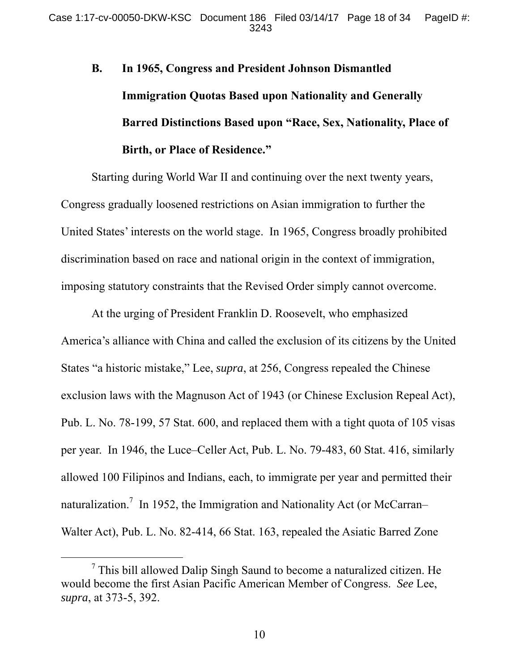# **B. In 1965, Congress and President Johnson Dismantled Immigration Quotas Based upon Nationality and Generally Barred Distinctions Based upon "Race, Sex, Nationality, Place of Birth, or Place of Residence."**

Starting during World War II and continuing over the next twenty years, Congress gradually loosened restrictions on Asian immigration to further the United States' interests on the world stage. In 1965, Congress broadly prohibited discrimination based on race and national origin in the context of immigration, imposing statutory constraints that the Revised Order simply cannot overcome.

At the urging of President Franklin D. Roosevelt, who emphasized America's alliance with China and called the exclusion of its citizens by the United States "a historic mistake," Lee, *supra*, at 256, Congress repealed the Chinese exclusion laws with the Magnuson Act of 1943 (or Chinese Exclusion Repeal Act), Pub. L. No. 78-199, 57 Stat. 600, and replaced them with a tight quota of 105 visas per year. In 1946, the Luce–Celler Act, Pub. L. No. 79-483, 60 Stat. 416, similarly allowed 100 Filipinos and Indians, each, to immigrate per year and permitted their naturalization.<sup>7</sup> In 1952, the Immigration and Nationality Act (or McCarran– Walter Act), Pub. L. No. 82-414, 66 Stat. 163, repealed the Asiatic Barred Zone

 $\frac{1}{7}$  $\frac{7}{7}$  This bill allowed Dalip Singh Saund to become a naturalized citizen. He would become the first Asian Pacific American Member of Congress. *See* Lee, *supra*, at 373-5, 392.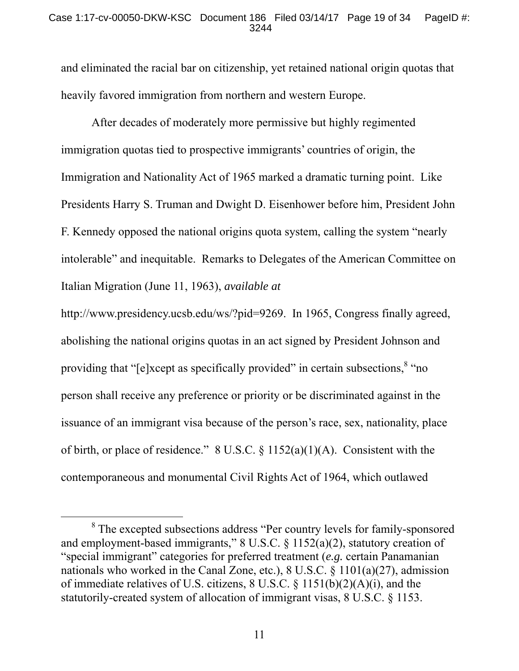and eliminated the racial bar on citizenship, yet retained national origin quotas that heavily favored immigration from northern and western Europe.

After decades of moderately more permissive but highly regimented immigration quotas tied to prospective immigrants' countries of origin, the Immigration and Nationality Act of 1965 marked a dramatic turning point. Like Presidents Harry S. Truman and Dwight D. Eisenhower before him, President John F. Kennedy opposed the national origins quota system, calling the system "nearly intolerable" and inequitable. Remarks to Delegates of the American Committee on Italian Migration (June 11, 1963), *available at* 

http://www.presidency.ucsb.edu/ws/?pid=9269. In 1965, Congress finally agreed, abolishing the national origins quotas in an act signed by President Johnson and providing that "[e]xcept as specifically provided" in certain subsections,  $8$  "no person shall receive any preference or priority or be discriminated against in the issuance of an immigrant visa because of the person's race, sex, nationality, place of birth, or place of residence." 8 U.S.C. § 1152(a)(1)(A). Consistent with the contemporaneous and monumental Civil Rights Act of 1964, which outlawed

 <sup>8</sup> <sup>8</sup> The excepted subsections address "Per country levels for family-sponsored and employment-based immigrants," 8 U.S.C. § 1152(a)(2), statutory creation of "special immigrant" categories for preferred treatment (*e.g.* certain Panamanian nationals who worked in the Canal Zone, etc.), 8 U.S.C. § 1101(a)(27), admission of immediate relatives of U.S. citizens, 8 U.S.C. § 1151(b)(2)(A)(i), and the statutorily-created system of allocation of immigrant visas, 8 U.S.C. § 1153.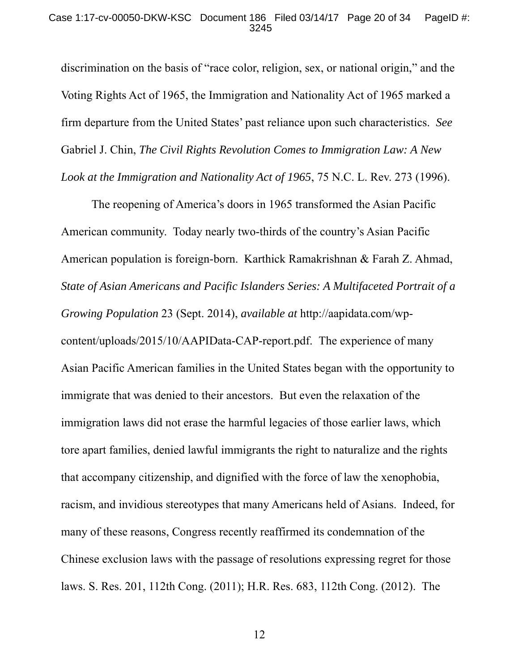discrimination on the basis of "race color, religion, sex, or national origin," and the Voting Rights Act of 1965, the Immigration and Nationality Act of 1965 marked a firm departure from the United States' past reliance upon such characteristics. *See*  Gabriel J. Chin, *The Civil Rights Revolution Comes to Immigration Law: A New Look at the Immigration and Nationality Act of 1965*, 75 N.C. L. Rev. 273 (1996).

The reopening of America's doors in 1965 transformed the Asian Pacific American community. Today nearly two-thirds of the country's Asian Pacific American population is foreign-born. Karthick Ramakrishnan & Farah Z. Ahmad, *State of Asian Americans and Pacific Islanders Series: A Multifaceted Portrait of a Growing Population* 23 (Sept. 2014), *available at* http://aapidata.com/wpcontent/uploads/2015/10/AAPIData-CAP-report.pdf. The experience of many Asian Pacific American families in the United States began with the opportunity to immigrate that was denied to their ancestors. But even the relaxation of the immigration laws did not erase the harmful legacies of those earlier laws, which tore apart families, denied lawful immigrants the right to naturalize and the rights that accompany citizenship, and dignified with the force of law the xenophobia, racism, and invidious stereotypes that many Americans held of Asians. Indeed, for many of these reasons, Congress recently reaffirmed its condemnation of the Chinese exclusion laws with the passage of resolutions expressing regret for those laws. S. Res. 201, 112th Cong. (2011); H.R. Res. 683, 112th Cong. (2012). The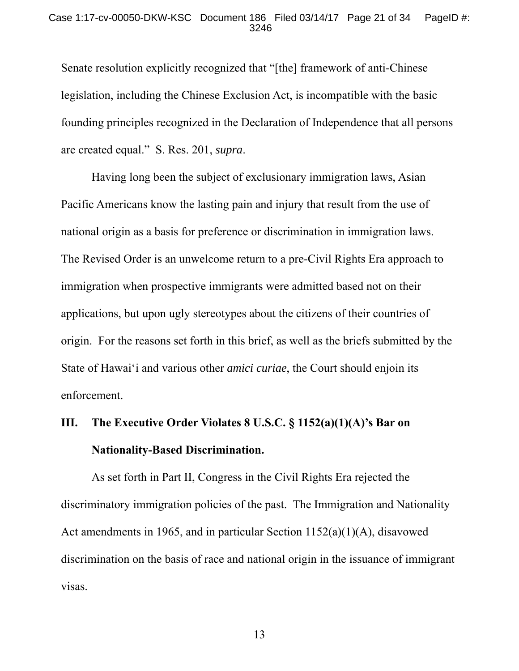Senate resolution explicitly recognized that "[the] framework of anti-Chinese legislation, including the Chinese Exclusion Act, is incompatible with the basic founding principles recognized in the Declaration of Independence that all persons are created equal." S. Res. 201, *supra*.

Having long been the subject of exclusionary immigration laws, Asian Pacific Americans know the lasting pain and injury that result from the use of national origin as a basis for preference or discrimination in immigration laws. The Revised Order is an unwelcome return to a pre-Civil Rights Era approach to immigration when prospective immigrants were admitted based not on their applications, but upon ugly stereotypes about the citizens of their countries of origin. For the reasons set forth in this brief, as well as the briefs submitted by the State of Hawai'i and various other *amici curiae*, the Court should enjoin its enforcement.

# **III. The Executive Order Violates 8 U.S.C. § 1152(a)(1)(A)'s Bar on Nationality-Based Discrimination.**

As set forth in Part II, Congress in the Civil Rights Era rejected the discriminatory immigration policies of the past. The Immigration and Nationality Act amendments in 1965, and in particular Section 1152(a)(1)(A), disavowed discrimination on the basis of race and national origin in the issuance of immigrant visas.

13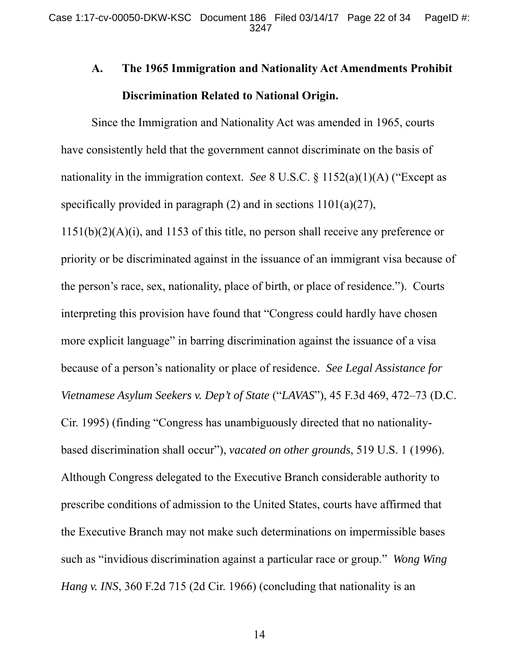# **A. The 1965 Immigration and Nationality Act Amendments Prohibit Discrimination Related to National Origin.**

Since the Immigration and Nationality Act was amended in 1965, courts have consistently held that the government cannot discriminate on the basis of nationality in the immigration context. *See* 8 U.S.C. § 1152(a)(1)(A) ("Except as specifically provided in paragraph  $(2)$  and in sections  $1101(a)(27)$ , 1151(b)(2)(A)(i), and 1153 of this title, no person shall receive any preference or priority or be discriminated against in the issuance of an immigrant visa because of the person's race, sex, nationality, place of birth, or place of residence."). Courts interpreting this provision have found that "Congress could hardly have chosen more explicit language" in barring discrimination against the issuance of a visa because of a person's nationality or place of residence. *See Legal Assistance for Vietnamese Asylum Seekers v. Dep't of State* ("*LAVAS*"), 45 F.3d 469, 472–73 (D.C. Cir. 1995) (finding "Congress has unambiguously directed that no nationalitybased discrimination shall occur"), *vacated on other grounds*, 519 U.S. 1 (1996). Although Congress delegated to the Executive Branch considerable authority to prescribe conditions of admission to the United States, courts have affirmed that the Executive Branch may not make such determinations on impermissible bases such as "invidious discrimination against a particular race or group." *Wong Wing Hang v. INS*, 360 F.2d 715 (2d Cir. 1966) (concluding that nationality is an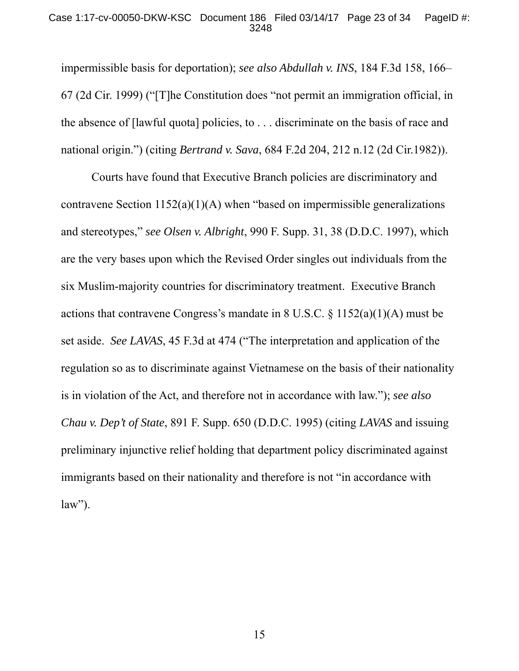#### Case 1:17-cv-00050-DKW-KSC Document 186 Filed 03/14/17 Page 23 of 34 PageID #: 3248

impermissible basis for deportation); *see also Abdullah v. INS*, 184 F.3d 158, 166– 67 (2d Cir. 1999) ("[T]he Constitution does "not permit an immigration official, in the absence of [lawful quota] policies, to . . . discriminate on the basis of race and national origin.") (citing *Bertrand v. Sava*, 684 F.2d 204, 212 n.12 (2d Cir.1982)).

Courts have found that Executive Branch policies are discriminatory and contravene Section  $1152(a)(1)(A)$  when "based on impermissible generalizations" and stereotypes," *see Olsen v. Albright*, 990 F. Supp. 31, 38 (D.D.C. 1997), which are the very bases upon which the Revised Order singles out individuals from the six Muslim-majority countries for discriminatory treatment. Executive Branch actions that contravene Congress's mandate in 8 U.S.C. § 1152(a)(1)(A) must be set aside. *See LAVAS*, 45 F.3d at 474 ("The interpretation and application of the regulation so as to discriminate against Vietnamese on the basis of their nationality is in violation of the Act, and therefore not in accordance with law."); *see also Chau v. Dep't of State*, 891 F. Supp. 650 (D.D.C. 1995) (citing *LAVAS* and issuing preliminary injunctive relief holding that department policy discriminated against immigrants based on their nationality and therefore is not "in accordance with  $law$ ").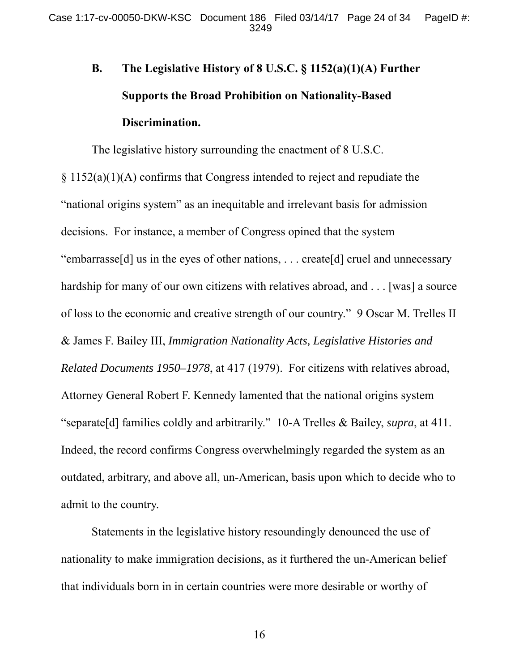# **B. The Legislative History of 8 U.S.C. § 1152(a)(1)(A) Further Supports the Broad Prohibition on Nationality-Based Discrimination.**

The legislative history surrounding the enactment of 8 U.S.C. § 1152(a)(1)(A) confirms that Congress intended to reject and repudiate the "national origins system" as an inequitable and irrelevant basis for admission decisions. For instance, a member of Congress opined that the system "embarrasse[d] us in the eyes of other nations, . . . create[d] cruel and unnecessary hardship for many of our own citizens with relatives abroad, and . . . [was] a source of loss to the economic and creative strength of our country." 9 Oscar M. Trelles II & James F. Bailey III, *Immigration Nationality Acts, Legislative Histories and Related Documents 1950–1978*, at 417 (1979). For citizens with relatives abroad, Attorney General Robert F. Kennedy lamented that the national origins system "separate[d] families coldly and arbitrarily." 10-A Trelles & Bailey, *supra*, at 411. Indeed, the record confirms Congress overwhelmingly regarded the system as an outdated, arbitrary, and above all, un-American, basis upon which to decide who to admit to the country.

Statements in the legislative history resoundingly denounced the use of nationality to make immigration decisions, as it furthered the un-American belief that individuals born in in certain countries were more desirable or worthy of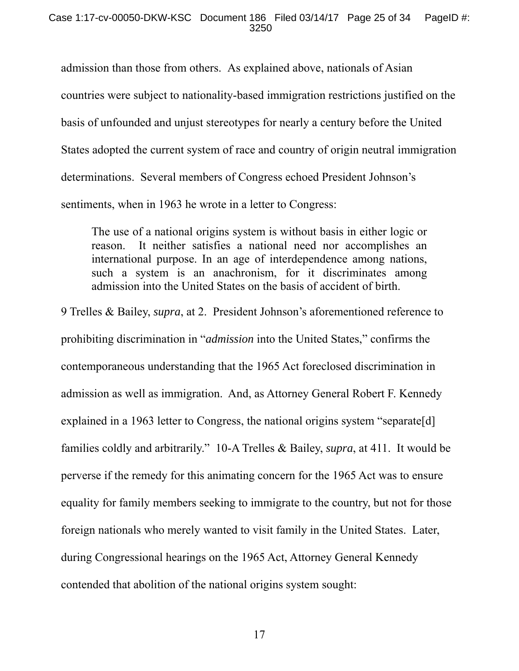admission than those from others. As explained above, nationals of Asian countries were subject to nationality-based immigration restrictions justified on the basis of unfounded and unjust stereotypes for nearly a century before the United States adopted the current system of race and country of origin neutral immigration determinations. Several members of Congress echoed President Johnson's sentiments, when in 1963 he wrote in a letter to Congress:

The use of a national origins system is without basis in either logic or reason. It neither satisfies a national need nor accomplishes an international purpose. In an age of interdependence among nations, such a system is an anachronism, for it discriminates among admission into the United States on the basis of accident of birth.

9 Trelles & Bailey, *supra*, at 2. President Johnson's aforementioned reference to prohibiting discrimination in "*admission* into the United States," confirms the contemporaneous understanding that the 1965 Act foreclosed discrimination in admission as well as immigration. And, as Attorney General Robert F. Kennedy explained in a 1963 letter to Congress, the national origins system "separate[d] families coldly and arbitrarily." 10-A Trelles & Bailey, *supra*, at 411. It would be perverse if the remedy for this animating concern for the 1965 Act was to ensure equality for family members seeking to immigrate to the country, but not for those foreign nationals who merely wanted to visit family in the United States. Later, during Congressional hearings on the 1965 Act, Attorney General Kennedy contended that abolition of the national origins system sought: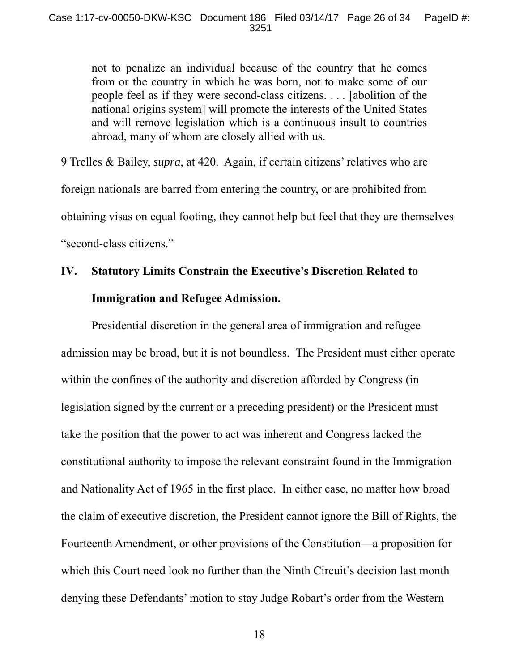not to penalize an individual because of the country that he comes from or the country in which he was born, not to make some of our people feel as if they were second-class citizens. . . . [abolition of the national origins system] will promote the interests of the United States and will remove legislation which is a continuous insult to countries abroad, many of whom are closely allied with us.

9 Trelles & Bailey, *supra*, at 420. Again, if certain citizens' relatives who are foreign nationals are barred from entering the country, or are prohibited from obtaining visas on equal footing, they cannot help but feel that they are themselves "second-class citizens."

# **IV. Statutory Limits Constrain the Executive's Discretion Related to Immigration and Refugee Admission.**

Presidential discretion in the general area of immigration and refugee admission may be broad, but it is not boundless. The President must either operate within the confines of the authority and discretion afforded by Congress (in legislation signed by the current or a preceding president) or the President must take the position that the power to act was inherent and Congress lacked the constitutional authority to impose the relevant constraint found in the Immigration and Nationality Act of 1965 in the first place. In either case, no matter how broad the claim of executive discretion, the President cannot ignore the Bill of Rights, the Fourteenth Amendment, or other provisions of the Constitution—a proposition for which this Court need look no further than the Ninth Circuit's decision last month denying these Defendants' motion to stay Judge Robart's order from the Western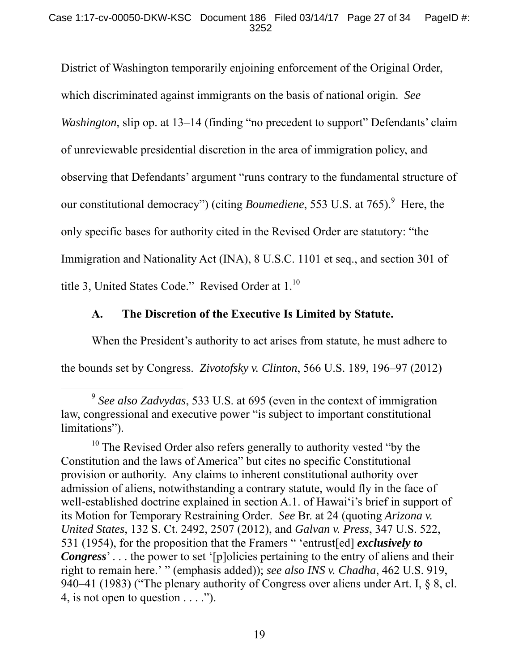District of Washington temporarily enjoining enforcement of the Original Order, which discriminated against immigrants on the basis of national origin. *See Washington*, slip op. at 13–14 (finding "no precedent to support" Defendants' claim of unreviewable presidential discretion in the area of immigration policy, and observing that Defendants' argument "runs contrary to the fundamental structure of our constitutional democracy") (citing *Boumediene*, 553 U.S. at 765). <sup>9</sup> Here, the only specific bases for authority cited in the Revised Order are statutory: "the Immigration and Nationality Act (INA), 8 U.S.C. 1101 et seq., and section 301 of title 3, United States Code." Revised Order at 1.<sup>10</sup>

### **A. The Discretion of the Executive Is Limited by Statute.**

When the President's authority to act arises from statute, he must adhere to the bounds set by Congress. *Zivotofsky v. Clinton*, 566 U.S. 189, 196–97 (2012)

 <sup>9</sup> *See also Zadvydas*, 533 U.S. at 695 (even in the context of immigration law, congressional and executive power "is subject to important constitutional limitations").

 $10$  The Revised Order also refers generally to authority vested "by the Constitution and the laws of America" but cites no specific Constitutional provision or authority. Any claims to inherent constitutional authority over admission of aliens, notwithstanding a contrary statute, would fly in the face of well-established doctrine explained in section A.1. of Hawai'i's brief in support of its Motion for Temporary Restraining Order. *See* Br. at 24 (quoting *Arizona v. United States*, 132 S. Ct. 2492, 2507 (2012), and *Galvan v. Press*, 347 U.S. 522, 531 (1954), for the proposition that the Framers " 'entrust[ed] *exclusively to Congress*'... the power to set '[p]olicies pertaining to the entry of aliens and their right to remain here.' " (emphasis added)); *see also INS v. Chadha*, 462 U.S. 919, 940–41 (1983) ("The plenary authority of Congress over aliens under Art. I, § 8, cl. 4, is not open to question  $\dots$  .").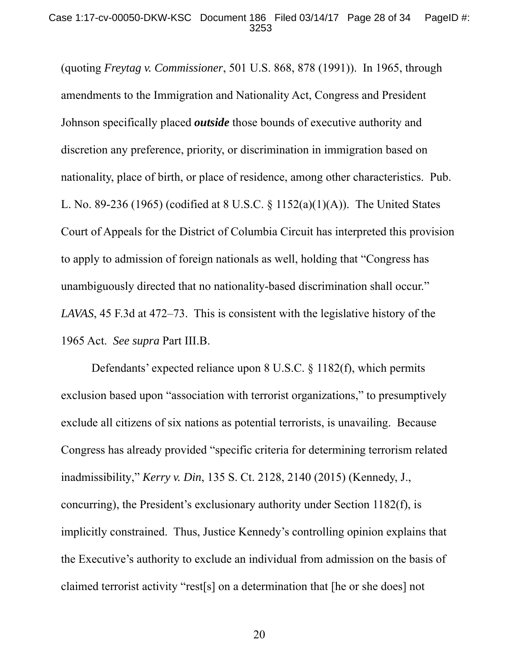(quoting *Freytag v. Commissioner*, 501 U.S. 868, 878 (1991)). In 1965, through amendments to the Immigration and Nationality Act, Congress and President Johnson specifically placed *outside* those bounds of executive authority and discretion any preference, priority, or discrimination in immigration based on nationality, place of birth, or place of residence, among other characteristics. Pub. L. No. 89-236 (1965) (codified at 8 U.S.C. § 1152(a)(1)(A)). The United States Court of Appeals for the District of Columbia Circuit has interpreted this provision to apply to admission of foreign nationals as well, holding that "Congress has unambiguously directed that no nationality-based discrimination shall occur." *LAVAS*, 45 F.3d at 472–73. This is consistent with the legislative history of the 1965 Act. *See supra* Part III.B.

Defendants' expected reliance upon 8 U.S.C. § 1182(f), which permits exclusion based upon "association with terrorist organizations," to presumptively exclude all citizens of six nations as potential terrorists, is unavailing. Because Congress has already provided "specific criteria for determining terrorism related inadmissibility," *Kerry v. Din*, 135 S. Ct. 2128, 2140 (2015) (Kennedy, J., concurring), the President's exclusionary authority under Section 1182(f), is implicitly constrained. Thus, Justice Kennedy's controlling opinion explains that the Executive's authority to exclude an individual from admission on the basis of claimed terrorist activity "rest[s] on a determination that [he or she does] not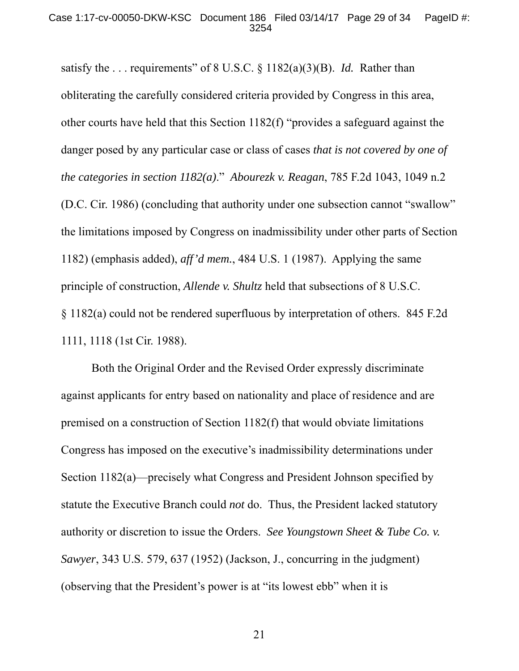satisfy the . . . requirements" of 8 U.S.C. § 1182(a)(3)(B). *Id.* Rather than obliterating the carefully considered criteria provided by Congress in this area, other courts have held that this Section 1182(f) "provides a safeguard against the danger posed by any particular case or class of cases *that is not covered by one of the categories in section 1182(a)*." *Abourezk v. Reagan*, 785 F.2d 1043, 1049 n.2 (D.C. Cir. 1986) (concluding that authority under one subsection cannot "swallow" the limitations imposed by Congress on inadmissibility under other parts of Section 1182) (emphasis added), *aff'd mem.*, 484 U.S. 1 (1987). Applying the same principle of construction, *Allende v. Shultz* held that subsections of 8 U.S.C. § 1182(a) could not be rendered superfluous by interpretation of others. 845 F.2d 1111, 1118 (1st Cir. 1988).

Both the Original Order and the Revised Order expressly discriminate against applicants for entry based on nationality and place of residence and are premised on a construction of Section 1182(f) that would obviate limitations Congress has imposed on the executive's inadmissibility determinations under Section 1182(a)—precisely what Congress and President Johnson specified by statute the Executive Branch could *not* do. Thus, the President lacked statutory authority or discretion to issue the Orders. *See Youngstown Sheet & Tube Co. v. Sawyer*, 343 U.S. 579, 637 (1952) (Jackson, J., concurring in the judgment) (observing that the President's power is at "its lowest ebb" when it is

21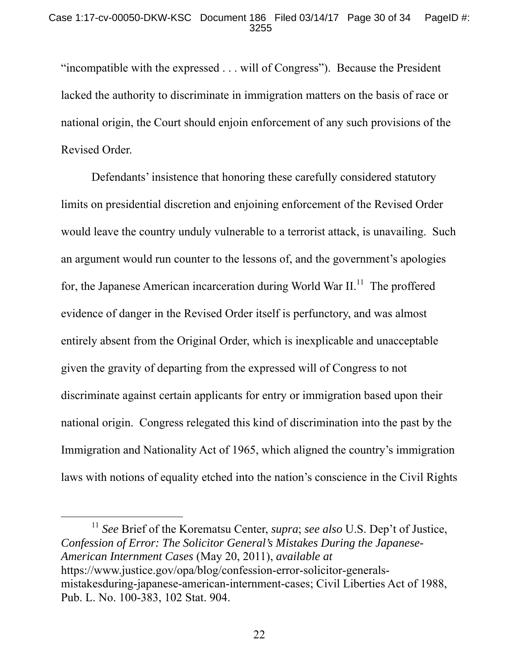"incompatible with the expressed . . . will of Congress"). Because the President lacked the authority to discriminate in immigration matters on the basis of race or national origin, the Court should enjoin enforcement of any such provisions of the Revised Order.

Defendants' insistence that honoring these carefully considered statutory limits on presidential discretion and enjoining enforcement of the Revised Order would leave the country unduly vulnerable to a terrorist attack, is unavailing. Such an argument would run counter to the lessons of, and the government's apologies for, the Japanese American incarceration during World War  $II$ <sup>11</sup>. The proffered evidence of danger in the Revised Order itself is perfunctory, and was almost entirely absent from the Original Order, which is inexplicable and unacceptable given the gravity of departing from the expressed will of Congress to not discriminate against certain applicants for entry or immigration based upon their national origin. Congress relegated this kind of discrimination into the past by the Immigration and Nationality Act of 1965, which aligned the country's immigration laws with notions of equality etched into the nation's conscience in the Civil Rights

 11 *See* Brief of the Korematsu Center, *supra*; *see also* U.S. Dep't of Justice, *Confession of Error: The Solicitor General's Mistakes During the Japanese-American Internment Cases* (May 20, 2011), *available at* https://www.justice.gov/opa/blog/confession-error-solicitor-generalsmistakesduring-japanese-american-internment-cases; Civil Liberties Act of 1988, Pub. L. No. 100-383, 102 Stat. 904.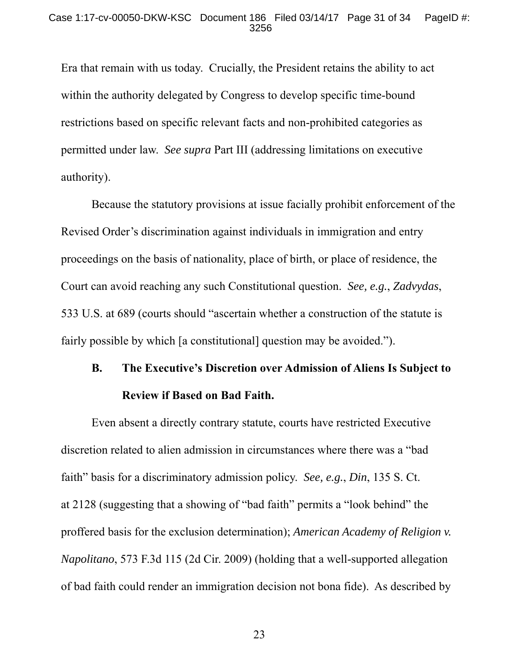Era that remain with us today. Crucially, the President retains the ability to act within the authority delegated by Congress to develop specific time-bound restrictions based on specific relevant facts and non-prohibited categories as permitted under law. *See supra* Part III (addressing limitations on executive authority).

Because the statutory provisions at issue facially prohibit enforcement of the Revised Order's discrimination against individuals in immigration and entry proceedings on the basis of nationality, place of birth, or place of residence, the Court can avoid reaching any such Constitutional question. *See, e.g.*, *Zadvydas*, 533 U.S. at 689 (courts should "ascertain whether a construction of the statute is fairly possible by which [a constitutional] question may be avoided.").

# **B. The Executive's Discretion over Admission of Aliens Is Subject to Review if Based on Bad Faith.**

Even absent a directly contrary statute, courts have restricted Executive discretion related to alien admission in circumstances where there was a "bad faith" basis for a discriminatory admission policy. *See, e.g.*, *Din*, 135 S. Ct. at 2128 (suggesting that a showing of "bad faith" permits a "look behind" the proffered basis for the exclusion determination); *American Academy of Religion v. Napolitano*, 573 F.3d 115 (2d Cir. 2009) (holding that a well-supported allegation of bad faith could render an immigration decision not bona fide). As described by

23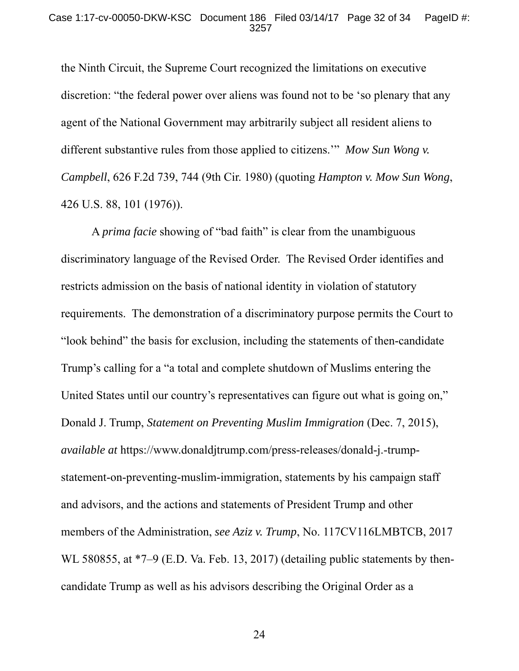the Ninth Circuit, the Supreme Court recognized the limitations on executive discretion: "the federal power over aliens was found not to be 'so plenary that any agent of the National Government may arbitrarily subject all resident aliens to different substantive rules from those applied to citizens.'" *Mow Sun Wong v. Campbell*, 626 F.2d 739, 744 (9th Cir. 1980) (quoting *Hampton v. Mow Sun Wong*, 426 U.S. 88, 101 (1976)).

A *prima facie* showing of "bad faith" is clear from the unambiguous discriminatory language of the Revised Order. The Revised Order identifies and restricts admission on the basis of national identity in violation of statutory requirements. The demonstration of a discriminatory purpose permits the Court to "look behind" the basis for exclusion, including the statements of then-candidate Trump's calling for a "a total and complete shutdown of Muslims entering the United States until our country's representatives can figure out what is going on," Donald J. Trump, *Statement on Preventing Muslim Immigration* (Dec. 7, 2015), *available at* https://www.donaldjtrump.com/press-releases/donald-j.-trumpstatement-on-preventing-muslim-immigration, statements by his campaign staff and advisors, and the actions and statements of President Trump and other members of the Administration, *see Aziz v. Trump*, No. 117CV116LMBTCB, 2017 WL 580855, at  $*7-9$  (E.D. Va. Feb. 13, 2017) (detailing public statements by thencandidate Trump as well as his advisors describing the Original Order as a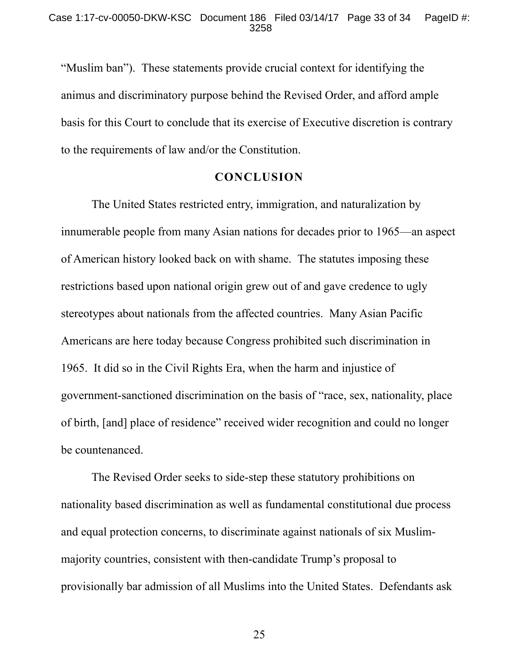"Muslim ban"). These statements provide crucial context for identifying the animus and discriminatory purpose behind the Revised Order, and afford ample basis for this Court to conclude that its exercise of Executive discretion is contrary to the requirements of law and/or the Constitution.

#### **CONCLUSION**

The United States restricted entry, immigration, and naturalization by innumerable people from many Asian nations for decades prior to 1965—an aspect of American history looked back on with shame. The statutes imposing these restrictions based upon national origin grew out of and gave credence to ugly stereotypes about nationals from the affected countries. Many Asian Pacific Americans are here today because Congress prohibited such discrimination in 1965. It did so in the Civil Rights Era, when the harm and injustice of government-sanctioned discrimination on the basis of "race, sex, nationality, place of birth, [and] place of residence" received wider recognition and could no longer be countenanced.

The Revised Order seeks to side-step these statutory prohibitions on nationality based discrimination as well as fundamental constitutional due process and equal protection concerns, to discriminate against nationals of six Muslimmajority countries, consistent with then-candidate Trump's proposal to provisionally bar admission of all Muslims into the United States. Defendants ask

25 and 25